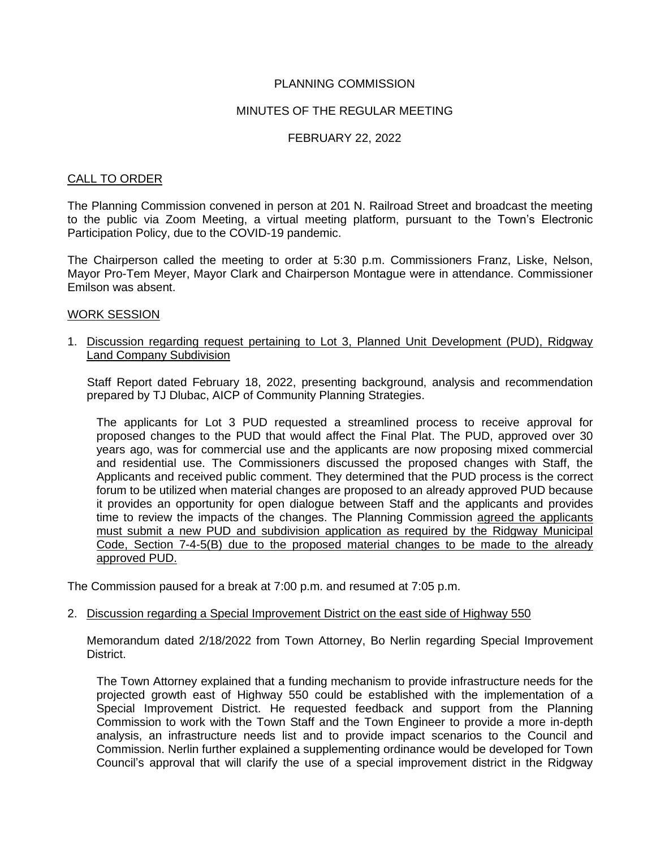### PLANNING COMMISSION

### MINUTES OF THE REGULAR MEETING

### FEBRUARY 22, 2022

#### CALL TO ORDER

The Planning Commission convened in person at 201 N. Railroad Street and broadcast the meeting to the public via Zoom Meeting, a virtual meeting platform, pursuant to the Town's Electronic Participation Policy, due to the COVID-19 pandemic.

The Chairperson called the meeting to order at 5:30 p.m. Commissioners Franz, Liske, Nelson, Mayor Pro-Tem Meyer, Mayor Clark and Chairperson Montague were in attendance. Commissioner Emilson was absent.

#### WORK SESSION

1. Discussion regarding request pertaining to Lot 3, Planned Unit Development (PUD), Ridgway Land Company Subdivision

 Staff Report dated February 18, 2022, presenting background, analysis and recommendation prepared by TJ Dlubac, AICP of Community Planning Strategies.

The applicants for Lot 3 PUD requested a streamlined process to receive approval for proposed changes to the PUD that would affect the Final Plat. The PUD, approved over 30 years ago, was for commercial use and the applicants are now proposing mixed commercial and residential use. The Commissioners discussed the proposed changes with Staff, the Applicants and received public comment. They determined that the PUD process is the correct forum to be utilized when material changes are proposed to an already approved PUD because it provides an opportunity for open dialogue between Staff and the applicants and provides time to review the impacts of the changes. The Planning Commission agreed the applicants must submit a new PUD and subdivision application as required by the Ridgway Municipal Code, Section 7-4-5(B) due to the proposed material changes to be made to the already approved PUD.

The Commission paused for a break at 7:00 p.m. and resumed at 7:05 p.m.

#### 2. Discussion regarding a Special Improvement District on the east side of Highway 550

Memorandum dated 2/18/2022 from Town Attorney, Bo Nerlin regarding Special Improvement District.

 The Town Attorney explained that a funding mechanism to provide infrastructure needs for the projected growth east of Highway 550 could be established with the implementation of a Special Improvement District. He requested feedback and support from the Planning Commission to work with the Town Staff and the Town Engineer to provide a more in-depth analysis, an infrastructure needs list and to provide impact scenarios to the Council and Commission. Nerlin further explained a supplementing ordinance would be developed for Town Council's approval that will clarify the use of a special improvement district in the Ridgway